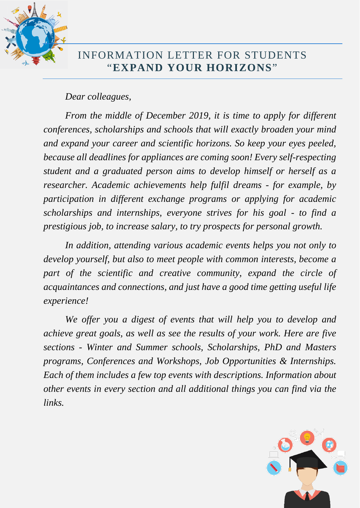

## INFORMATION LETTER FOR STUDENTS "**EXPAND YOUR HORIZONS**"

### *Dear colleagues,*

*From the middle of December 2019, it is time to apply for different conferences, scholarships and schools that will exactly broaden your mind and expand your career and scientific horizons. So keep your eyes peeled, because all deadlines for appliances are coming soon! Every self-respecting student and a graduated person aims to develop himself or herself as a researcher. Academic achievements help fulfil dreams - for example, by participation in different exchange programs or applying for academic scholarships and internships, everyone strives for his goal - to find a prestigious job, to increase salary, to try prospects for personal growth.* 

*In addition, attending various academic events helps you not only to develop yourself, but also to meet people with common interests, become a*  part of the scientific and creative community, expand the circle of *acquaintances and connections, and just have a good time getting useful life experience!*

*We offer you a digest of events that will help you to develop and achieve great goals, as well as see the results of your work. Here are five sections - Winter and Summer schools, Scholarships, PhD and Masters programs, Conferences and Workshops, Job Opportunities & Internships. Each of them includes a few top events with descriptions. Information about other events in every section and all additional things you can find via the links.*

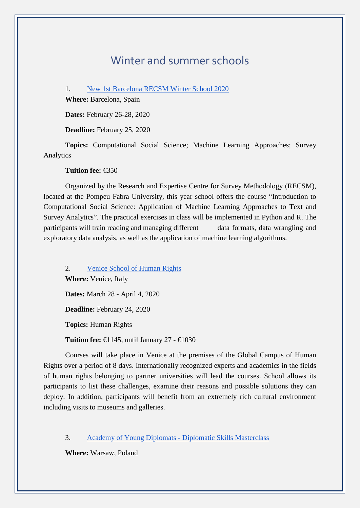## Winter and summer schools

1. [New 1st Barcelona RECSM Winter School 2020](https://www.upf.edu/web/survey/new-1st-recsm-winter-school-2020)

**Where:** Barcelona, Spain

**Dates:** February 26-28, 2020

**Deadline:** February 25, 2020

**Topics:** Computational Social Science; Machine Learning Approaches; Survey Analytics

**Tuition fee:** €350

Organized by the Research and Expertise Centre for Survey Methodology (RECSM), located at the Pompeu Fabra University, this year school offers the course "Introduction to Computational Social Science: Application of Machine Learning Approaches to Text and Survey Analytics". The practical exercises in class will be implemented in Python and R. The participants will train reading and managing different data formats, data wrangling and exploratory data analysis, as well as the application of machine learning algorithms.

2. [Venice School of Human Rights](https://www.gchumanrights.org/education/summer-shools-and-training-programmes/summer-school/venice-school-of-human-rights/school.html) **Where:** Venice, Italy **Dates:** March 28 - April 4, 2020 **Deadline:** February 24, 2020 **Topics:** Human Rights

**Tuition fee: €145, until January 27 - €1030** 

Courses will take place in Venice at the premises of the Global Campus of Human Rights over a period of 8 days. Internationally recognized experts and academics in the fields of human rights belonging to partner universities will lead the courses. School allows its participants to list these challenges, examine their reasons and possible solutions they can deploy. In addition, participants will benefit from an extremely rich cultural environment including visits to museums and galleries.

3. [Academy of Young Diplomats -](https://diplomats.pl/course/diplomatic-skills-masterclass/#1501785007434-25bc9018-034f) Diplomatic Skills Masterclass

**Where:** Warsaw, Poland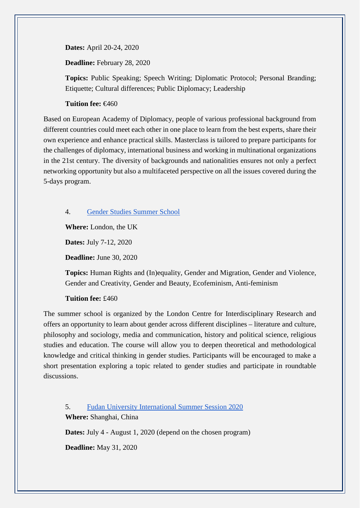**Dates:** April 20-24, 2020

**Deadline:** February 28, 2020

**Topics:** Public Speaking; Speech Writing; Diplomatic Protocol; Personal Branding; Etiquette; Cultural differences; Public Diplomacy; Leadership

#### **Tuition fee:** €460

Based on European Academy of Diplomacy, people of various professional background from different countries could meet each other in one place to learn from the best experts, share their own experience and enhance practical skills. Masterclass is tailored to prepare participants for the challenges of diplomacy, international business and working in multinational organizations in the 21st century. The diversity of backgrounds and nationalities ensures not only a perfect networking opportunity but also a multifaceted perspective on all the issues covered during the 5-days program.

4. [Gender Studies Summer School](https://genderstudies.lcir.co.uk/gender-studies-summer-school/)

**Where:** London, the UK

**Dates:** July 7-12, 2020

**Deadline:** June 30, 2020

**Topics:** Human Rights and (In)equality, Gender and Migration, Gender and Violence, Gender and Creativity, Gender and Beauty, Ecofeminism, Anti-feminism

#### **Tuition fee:** £460

The summer school is organized by the London Centre for Interdisciplinary Research and offers an opportunity to learn about gender across different disciplines – literature and culture, philosophy and sociology, media and communication, history and political science, religious studies and education. The course will allow you to deepen theoretical and methodological knowledge and critical thinking in gender studies. Participants will be encouraged to make a short presentation exploring a topic related to gender studies and participate in roundtable discussions.

5. [Fudan University International Summer Session 2020](https://iss.fudan.edu.cn/Why_FISS/About_FISS.htm) **Where:** Shanghai, China

**Dates:** July 4 - August 1, 2020 (depend on the chosen program)

**Deadline:** May 31, 2020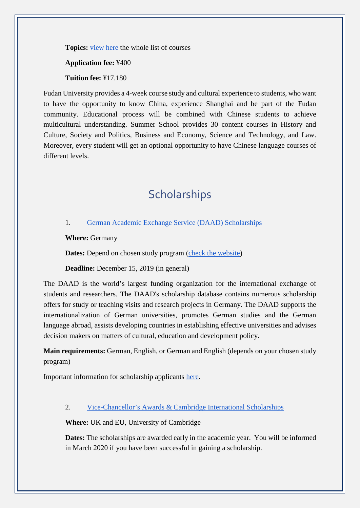**Topics:** [view here](https://iss.fudan.edu.cn/Courses___Credits/Content_Courses.htm) the whole list of courses

**Application fee:** ¥400

**Tuition fee:** ¥17.180

Fudan University provides a 4-week course study and cultural experience to students, who want to have the opportunity to know China, experience Shanghai and be part of the Fudan community. Educational process will be combined with Chinese students to achieve multicultural understanding. Summer School provides 30 content courses in History and Culture, Society and Politics, Business and Economy, Science and Technology, and Law. Moreover, every student will get an optional opportunity to have Chinese language courses of different levels.

# **Scholarships**

#### 1. [German Academic Exchange Service \(DAAD\) Scholarships](https://www.daad.de/en/study-and-research-in-germany/scholarships/)

**Where:** Germany

**Dates:** Depend on chosen study program [\(check the website\)](https://www2.daad.de/deutschland/studienangebote/studiengang/en/)

**Deadline:** December 15, 2019 (in general)

The DAAD is the world's largest funding organization for the international exchange of students and researchers. The DAAD's scholarship database contains numerous scholarship offers for study or teaching visits and research projects in Germany. The DAAD supports the internationalization of German universities, promotes German studies and the German language abroad, assists developing countries in establishing effective universities and advises decision makers on matters of cultural, education and development policy.

**Main requirements:** German, English, or German and English (depends on your chosen study program)

Important information for scholarship applicants [here.](https://www.daad.de/en/study-and-research-in-germany/scholarships/important-information-for-scholarship-applicants/)

#### 2. [Vice-Chancellor's Awards & Cambridge International Scholarships](https://www.cambridgetrust.org/scholarships/v-c-awards-and-cambridge-international-scholarships/)

**Where:** UK and EU, University of Cambridge

**Dates:** The scholarships are awarded early in the academic year. You will be informed in March 2020 if you have been successful in gaining a scholarship.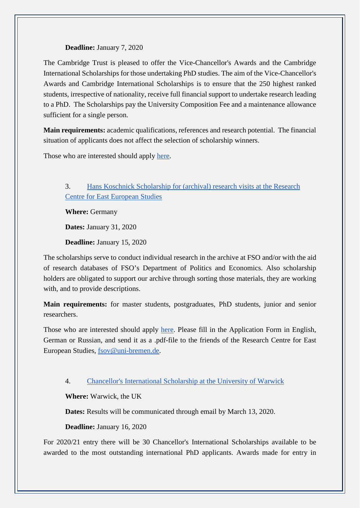#### **Deadline:** January 7, 2020

The Cambridge Trust is pleased to offer the Vice-Chancellor's Awards and the Cambridge International Scholarships for those undertaking PhD studies. The aim of the Vice-Chancellor's Awards and Cambridge International Scholarships is to ensure that the 250 highest ranked students, irrespective of nationality, receive full financial support to undertake research leading to a PhD. The Scholarships pay the University Composition Fee and a maintenance allowance sufficient for a single person.

**Main requirements:** academic qualifications, references and research potential. The financial situation of applicants does not affect the selection of scholarship winners.

Those who are interested should apply [here.](https://www.graduate.study.cam.ac.uk/application-process/application-deadlines)

#### 3. [Hans Koschnick Scholarship for \(archival\) research visits at the Research](https://www.forschungsstelle.uni-bremen.de/en/4/20181119160121/Hans_Koschnick_Scholarship.html?fbclid=IwAR2xxcN5CVQ7yx2AvmnalLDLX9Pyl4gf3-owHlzUlhzBuBoCTOzOWbj74Ds)  [Centre for East European Studies](https://www.forschungsstelle.uni-bremen.de/en/4/20181119160121/Hans_Koschnick_Scholarship.html?fbclid=IwAR2xxcN5CVQ7yx2AvmnalLDLX9Pyl4gf3-owHlzUlhzBuBoCTOzOWbj74Ds)

**Where:** Germany

**Dates:** January 31, 2020

**Deadline:** January 15, 2020

The scholarships serve to conduct individual research in the archive at FSO and/or with the aid of research databases of FSO's Department of Politics and Economics. Also scholarship holders are obligated to support our archive through sorting those materials, they are working with, and to provide descriptions.

**Main requirements:** for master students, postgraduates, PhD students, junior and senior researchers.

Those who are interested should apply [here.](https://www.forschungsstelle.uni-bremen.de/UserFiles/file/09-Archiv-Bibliothek/Stipendien/2020_Hans_Koschnick_Stipendium/FSO_Bewerbungsformular_Stipendien_en.pdf) Please fill in the Application Form in English, German or Russian, and send it as a .pdf-file to the friends of the Research Centre for East European Studies, [fsov@uni-bremen.de.](mailto:fsov@uni-bremen.de)

#### 4. [Chancellor's International Scholarship at the University of Warwick](https://warwick.ac.uk/services/dc/schols_fund/scholarships_and_funding/chancellors_int)

**Where:** Warwick, the UK

**Dates:** Results will be communicated through email by March 13, 2020.

#### **Deadline:** January 16, 2020

For 2020/21 entry there will be 30 Chancellor's International Scholarships available to be awarded to the most outstanding international PhD applicants. Awards made for entry in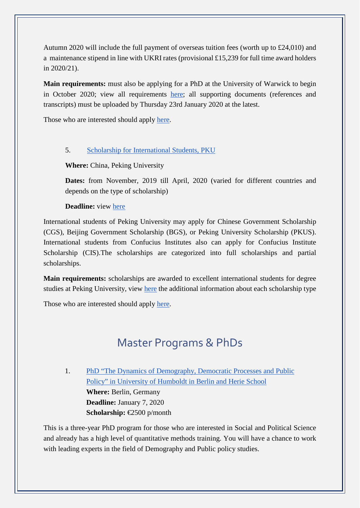Autumn 2020 will include the full payment of overseas tuition fees (worth up to £24,010) and a maintenance stipend in line with UKRI rates (provisional £15,239 for full time award holders in 2020/21).

**Main requirements:** must also be applying for a PhD at the University of Warwick to begin in October 2020; view all requirements [here;](https://warwick.ac.uk/services/dc/schols_fund/scholarships_and_funding/chancellors_int/hp-contents/cis_guidance_notes_v1.pdf) all supporting documents (references and transcripts) must be uploaded by Thursday 23rd January 2020 at the latest.

Those who are interested should apply [here.](https://scholarships.warwick.ac.uk/apply/scholarship/b7df8ff7-a244-468c-b040-af0f4a0075c0)

#### 5. [Scholarship for International Students, PKU](http://www.isd.pku.edu.cn/HOME/SCHOLARSHIP/General_Information.htm)

#### **Where:** China, Peking University

**Dates:** from November, 2019 till April, 2020 (varied for different countries and depends on the type of scholarship)

#### **Deadline:** view [here](http://www.isd.pku.edu.cn/HOME/SCHOLARSHIP/Information_about_Scholarship/Application_information.htm)

International students of Peking University may apply for Chinese Government Scholarship (CGS), Beijing Government Scholarship (BGS), or Peking University Scholarship (PKUS). International students from Confucius Institutes also can apply for Confucius Institute Scholarship (CIS).The scholarships are categorized into full scholarships and partial scholarships.

**Main requirements:** scholarships are awarded to excellent international students for degree studies at Peking University, view [here](http://www.isd.pku.edu.cn/HOME/SCHOLARSHIP/Information_about_Scholarship/Application_information.htm) the additional information about each scholarship type

Those who are interested should apply [here.](http://www.isd.pku.edu.cn/HOME/SCHOLARSHIP/Forms_of_Scholarship.htm)

# Master Programs & PhDs

1. PhD "The Dynamics of Demography, Democratic Processes and Public [Policy" in University of Humboldt in Berlin](https://www.sowi.hu-berlin.de/en/dynamics/files/dynamics_cfa-1_2020.pdf) and Herie School **Where:** Berlin, Germany **Deadline:** January 7, 2020 **Scholarship:** €2500 p/month

This is a three-year PhD program for those who are interested in Social and Political Science and already has a high level of quantitative methods training. You will have a chance to work with leading experts in the field of Demography and Public policy studies.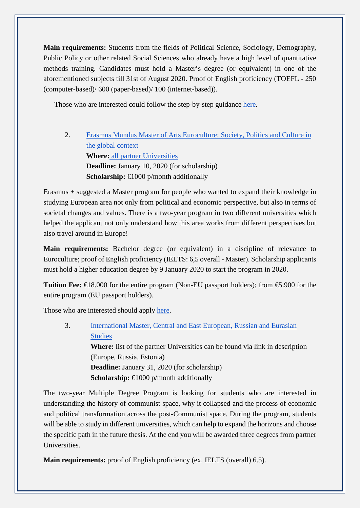**Main requirements:** Students from the fields of Political Science, Sociology, Demography, Public Policy or other related Social Sciences who already have a high level of quantitative methods training. Candidates must hold a Master's degree (or equivalent) in one of the aforementioned subjects till 31st of August 2020. Proof of English proficiency (TOEFL - 250 (computer-based)/ 600 (paper-based)/ 100 (internet-based)).

Those who are interested could follow the step-by-step guidance [here.](https://www.sowi.hu-berlin.de/en/dynamics/application_2020)

2. [Erasmus Mundus Master of Arts Euroculture: Society, Politics and Culture in](https://www.euroculturemaster.eu/news/2020-intake-apply-from-1-october)  [the global context](https://www.euroculturemaster.eu/news/2020-intake-apply-from-1-october) **Where:** [all partner Universities](https://www.euroculturemaster.eu/network-2/eu-partner-universities)  **Deadline:** January 10, 2020 (for scholarship) **Scholarship:** €1000 p/month additionally

Erasmus + suggested a Master program for people who wanted to expand their knowledge in studying European area not only from political and economic perspective, but also in terms of societal changes and values. There is a two-year program in two different universities which helped the applicant not only understand how this area works from different perspectives but also travel around in Europe!

**Main requirements:** Bachelor degree (or equivalent) in a discipline of relevance to Euroculture; proof of English proficiency (IELTS: 6,5 overall - Master). Scholarship applicants must hold a higher education degree by 9 January 2020 to start the program in 2020.

**Tuition Fee:** €18.000 for the entire program (Non-EU passport holders); from €5.900 for the entire program (EU passport holders).

Those who are interested should apply [here.](https://www.euroculturemaster.eu/online-application-system)

3. [International Master, Central and East European, Russian and Eurasian](http://ceeres-erasmusmundus.eu/)  [Studies](http://ceeres-erasmusmundus.eu/) **Where:** list of the partner Universities can be found via link in description (Europe, Russia, Estonia) **Deadline:** January 31, 2020 (for scholarship) **Scholarship:** €1000 p/month additionally

The two-year Multiple Degree Program is looking for students who are interested in understanding the history of communist space, why it collapsed and the process of economic and political transformation across the post-Communist space. During the program, students will be able to study in different universities, which can help to expand the horizons and choose the specific path in the future thesis. At the end you will be awarded three degrees from partner Universities.

**Main requirements:** proof of English proficiency (ex. IELTS (overall) 6.5).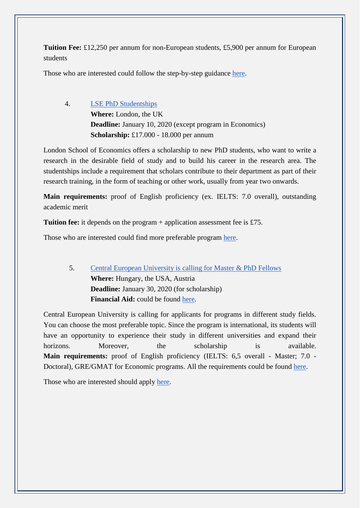**Tuition Fee:** £12,250 per annum for non-European students, £5,900 per annum for European students

Those who are interested could follow the step-by-step guidance [here.](http://ceeres-erasmusmundus.eu/how-to-apply/step-by-step-application-guide/)

4. [LSE PhD Studentships](http://www.lse.ac.uk/study-at-lse/Graduate/fees-and-funding/PhD-Studentships) **Where:** London, the UK **Deadline:** January 10, 2020 (except program in Economics) **Scholarship:** £17.000 - 18.000 per annum

London School of Economics offers a scholarship to new PhD students, who want to write a research in the desirable field of study and to build his career in the research area. The studentships include a requirement that scholars contribute to their department as part of their research training, in the form of teaching or other work, usually from year two onwards.

**Main requirements:** proof of English proficiency (ex. IELTS: 7.0 overall), outstanding academic merit

**Tuition fee:** it depends on the program + application assessment fee is £75.

Those who are interested could find more preferable program [here.](http://www.lse.ac.uk/Programmes/Search-Courses?groupType=graduate)

5. [Central European University is calling for Master & PhD Fellows](https://www.ceu.edu/admissions/graduate) **Where:** Hungary, the USA, Austria **Deadline:** January 30, 2020 (for scholarship) Financial Aid: could be found [here.](https://www.ceu.edu/financialaid)

Central European University is calling for applicants for programs in different study fields. You can choose the most preferable topic. Since the program is international, its students will have an opportunity to experience their study in different universities and expand their horizons. Moreover, the scholarship is available. **Main requirements:** proof of English proficiency (IELTS: 6,5 overall - Master; 7.0 - Doctoral), GRE/GMAT for Economic programs. All the requirements could be found [here.](https://www.ceu.edu/node/13737)

Those who are interested should apply [here.](https://www.ceu.edu/apply)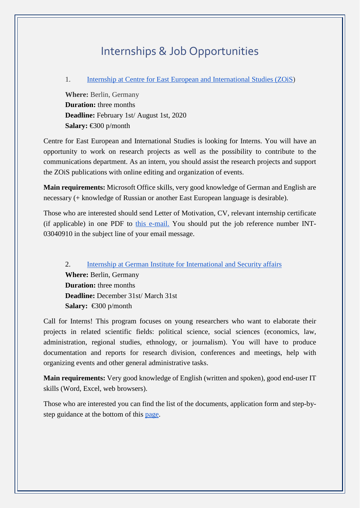## Internships & Job Opportunities

#### 1. [Internship at Centre for East European and International Studies \(ZOiS\)](https://en.zois-berlin.de/about-us/vacancies/internship/)

**Where:** Berlin, Germany **Duration:** three months **Deadline:** February 1st/ August 1st, 2020 **Salary:** €300 p/month

Centre for East European and International Studies is looking for Interns. You will have an opportunity to work on research projects as well as the possibility to contribute to the communications department. As an intern, you should assist the research projects and support the ZOiS publications with online editing and organization of events.

**Main requirements:** Microsoft Office skills, very good knowledge of German and English are necessary (+ knowledge of Russian or another East European language is desirable).

Those who are interested should send Letter of Motivation, CV, relevant internship certificate (if applicable) in one PDF to [this e-mail.](mailto:bewerbung@zois-berlin.de) You should put the job reference number INT-03040910 in the subject line of your email message.

2. [Internship at German Institute for International and Security affairs](https://www.swp-berlin.org/en/about-swp/jobs-internships/internships/) **Where:** Berlin, Germany **Duration:** three months **Deadline:** December 31st/ March 31st **Salary:** €300 p/month

Call for Interns! This program focuses on young researchers who want to elaborate their projects in related scientific fields: political science, social sciences (economics, law, administration, regional studies, ethnology, or journalism). You will have to produce documentation and reports for research division, conferences and meetings, help with organizing events and other general administrative tasks.

**Main requirements:** Very good knowledge of English (written and spoken), good end-user IT skills (Word, Excel, web browsers).

Those who are interested you can find the list of the documents, application form and step-bystep guidance at the bottom of this [page.](https://www.swp-berlin.org/en/about-swp/jobs-internships/internships/)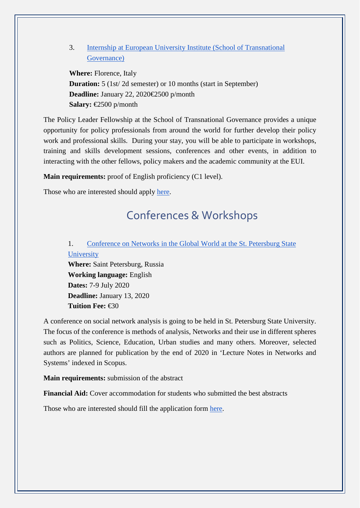#### 3. [Internship at European University Institute \(School of Transnational](https://stg.eui.eu/Fellowship)  [Governance\)](https://stg.eui.eu/Fellowship)

**Where:** Florence, Italy **Duration:** 5 (1st/2d semester) or 10 months (start in September) **Deadline:** January 22, 2020€2500 p/month **Salary:** €2500 p/month

The Policy Leader Fellowship at the School of Transnational Governance provides a unique opportunity for policy professionals from around the world for further develop their policy work and professional skills. During your stay, you will be able to participate in workshops, training and skills development sessions, conferences and other events, in addition to interacting with the other fellows, policy makers and the academic community at the EUI.

**Main requirements:** proof of English proficiency (C1 level).

Those who are interested should apply [here.](https://www.eui.eu/ServicesAndAdmin/AcademicService/Fellowships/Policy-Leader-Fellowships/HowToApply)

## Conferences & Workshops

### 1. [Conference on Networks in the Global World at the St. Petersburg State](http://ngw.spbu.ru/programme)  [University](http://ngw.spbu.ru/programme)

**Where:** Saint Petersburg, Russia **Working language:** English **Dates:** 7-9 July 2020 **Deadline:** January 13, 2020 **Tuition Fee:** €30

A conference on social network analysis is going to be held in St. Petersburg State University. The focus of the conference is methods of analysis, Networks and their use in different spheres such as Politics, Science, Education, Urban studies and many others. Moreover, selected authors are planned for publication by the end of 2020 in ['Lecture Notes in Networks and](https://www.springer.com/series/15179)  [Systems'](https://www.springer.com/series/15179) indexed in Scopus.

**Main requirements:** submission of the abstract

**Financial Aid:** Cover accommodation for students who submitted the best abstracts

Those who are interested should fill the application form [here.](http://ngw.spbu.ru/submission)